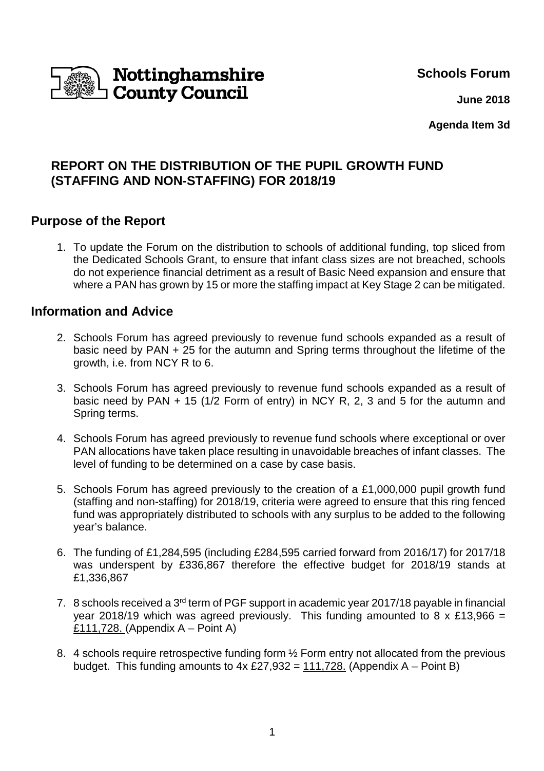

**Schools Forum**

 **June 2018**

**Agenda Item 3d**

# **REPORT ON THE DISTRIBUTION OF THE PUPIL GROWTH FUND (STAFFING AND NON-STAFFING) FOR 2018/19**

# **Purpose of the Report**

1. To update the Forum on the distribution to schools of additional funding, top sliced from the Dedicated Schools Grant, to ensure that infant class sizes are not breached, schools do not experience financial detriment as a result of Basic Need expansion and ensure that where a PAN has grown by 15 or more the staffing impact at Key Stage 2 can be mitigated.

## **Information and Advice**

- 2. Schools Forum has agreed previously to revenue fund schools expanded as a result of basic need by PAN + 25 for the autumn and Spring terms throughout the lifetime of the growth, i.e. from NCY R to 6.
- 3. Schools Forum has agreed previously to revenue fund schools expanded as a result of basic need by PAN + 15 (1/2 Form of entry) in NCY R, 2, 3 and 5 for the autumn and Spring terms.
- 4. Schools Forum has agreed previously to revenue fund schools where exceptional or over PAN allocations have taken place resulting in unavoidable breaches of infant classes. The level of funding to be determined on a case by case basis.
- 5. Schools Forum has agreed previously to the creation of a £1,000,000 pupil growth fund (staffing and non-staffing) for 2018/19, criteria were agreed to ensure that this ring fenced fund was appropriately distributed to schools with any surplus to be added to the following year's balance.
- 6. The funding of £1,284,595 (including £284,595 carried forward from 2016/17) for 2017/18 was underspent by £336,867 therefore the effective budget for 2018/19 stands at £1,336,867
- 7. 8 schools received a 3<sup>rd</sup> term of PGF support in academic year 2017/18 payable in financial year 2018/19 which was agreed previously. This funding amounted to 8 x £13,966 = £111,728. (Appendix  $A -$  Point A)
- 8. 4 schools require retrospective funding form ½ Form entry not allocated from the previous budget. This funding amounts to  $4x \&27.932 = 111.728$ . (Appendix A – Point B)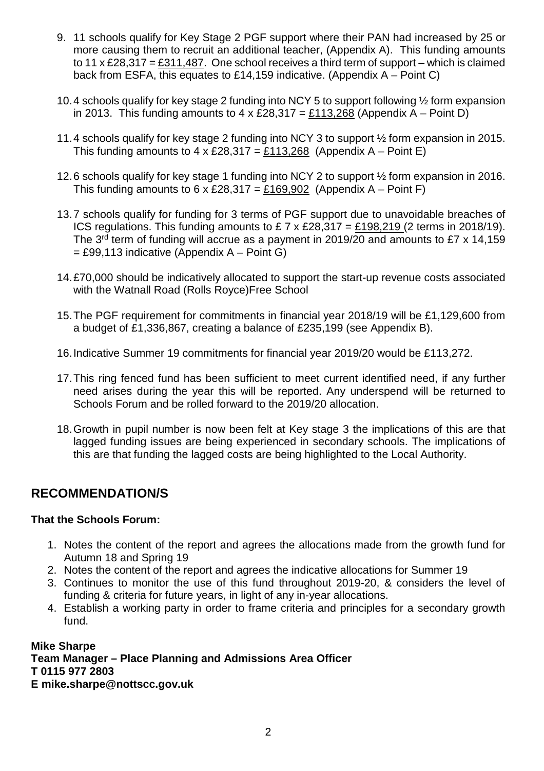- 9. 11 schools qualify for Key Stage 2 PGF support where their PAN had increased by 25 or more causing them to recruit an additional teacher, (Appendix A). This funding amounts to 11 x £28,317 = £311,487. One school receives a third term of support – which is claimed back from ESFA, this equates to £14,159 indicative. (Appendix A – Point C)
- 10. 4 schools qualify for key stage 2 funding into NCY 5 to support following ½ form expansion in 2013. This funding amounts to 4 x £28,317 = £113,268 (Appendix A – Point D)
- 11. 4 schools qualify for key stage 2 funding into NCY 3 to support ½ form expansion in 2015. This funding amounts to  $4 \times \text{\pounds}28,317 = \text{\pounds}113,268$  (Appendix A – Point E)
- 12. 6 schools qualify for key stage 1 funding into NCY 2 to support ½ form expansion in 2016. This funding amounts to 6 x £28,317 = £169,902 (Appendix A – Point F)
- 13. 7 schools qualify for funding for 3 terms of PGF support due to unavoidable breaches of ICS regulations. This funding amounts to  $£ 7 \times £28,317 = £198,219$  (2 terms in 2018/19). The 3<sup>rd</sup> term of funding will accrue as a payment in 2019/20 and amounts to £7 x 14,159  $=$  £99,113 indicative (Appendix A – Point G)
- 14. £70,000 should be indicatively allocated to support the start-up revenue costs associated with the Watnall Road (Rolls Royce)Free School
- 15. The PGF requirement for commitments in financial year 2018/19 will be £1,129,600 from a budget of £1,336,867, creating a balance of £235,199 (see Appendix B).
- 16. Indicative Summer 19 commitments for financial year 2019/20 would be £113,272.
- 17. This ring fenced fund has been sufficient to meet current identified need, if any further need arises during the year this will be reported. Any underspend will be returned to Schools Forum and be rolled forward to the 2019/20 allocation.
- 18. Growth in pupil number is now been felt at Key stage 3 the implications of this are that lagged funding issues are being experienced in secondary schools. The implications of this are that funding the lagged costs are being highlighted to the Local Authority.

# **RECOMMENDATION/S**

### **That the Schools Forum:**

- 1. Notes the content of the report and agrees the allocations made from the growth fund for Autumn 18 and Spring 19
- 2. Notes the content of the report and agrees the indicative allocations for Summer 19
- 3. Continues to monitor the use of this fund throughout 2019-20, & considers the level of funding & criteria for future years, in light of any in-year allocations.
- 4. Establish a working party in order to frame criteria and principles for a secondary growth fund.

### **Mike Sharpe**

**Team Manager – Place Planning and Admissions Area Officer T 0115 977 2803 E mike.sharpe@nottscc.gov.uk**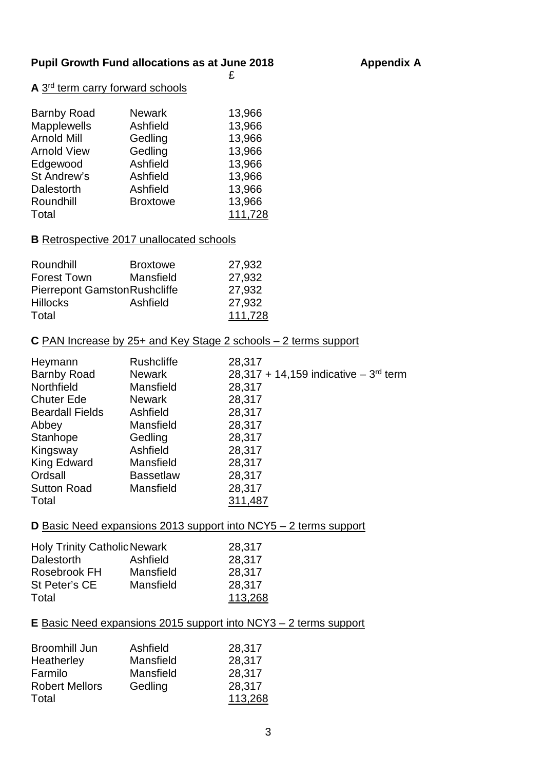## Pupil Growth Fund allocations as at June 2018 **Appendix A**

#### £ A 3<sup>rd</sup> term carry forward schools

| <b>Barnby Road</b> | <b>Newark</b>   | 13,966  |
|--------------------|-----------------|---------|
| Mapplewells        | Ashfield        | 13,966  |
| <b>Arnold Mill</b> | Gedling         | 13,966  |
| <b>Arnold View</b> | Gedling         | 13,966  |
| Edgewood           | Ashfield        | 13,966  |
| St Andrew's        | Ashfield        | 13,966  |
| Dalestorth         | Ashfield        | 13,966  |
| Roundhill          | <b>Broxtowe</b> | 13,966  |
| Total              |                 | 111,728 |

## **B** Retrospective 2017 unallocated schools

| Roundhill                            | <b>Broxtowe</b> | 27,932  |
|--------------------------------------|-----------------|---------|
| Forest Town                          | Mansfield       | 27,932  |
| <b>Pierrepont Gamston Rushcliffe</b> |                 | 27,932  |
| <b>Hillocks</b>                      | Ashfield        | 27,932  |
| Total                                |                 | 111,728 |

## **C** PAN Increase by 25+ and Key Stage 2 schools – 2 terms support

| Heymann                | <b>Rushcliffe</b> | 28,317                                    |
|------------------------|-------------------|-------------------------------------------|
| <b>Barnby Road</b>     | <b>Newark</b>     | 28,317 + 14,159 indicative $-3^{rd}$ term |
| Northfield             | Mansfield         | 28,317                                    |
| <b>Chuter Ede</b>      | <b>Newark</b>     | 28,317                                    |
| <b>Beardall Fields</b> | Ashfield          | 28,317                                    |
| Abbey                  | Mansfield         | 28,317                                    |
| Stanhope               | Gedling           | 28,317                                    |
| Kingsway               | Ashfield          | 28,317                                    |
| King Edward            | Mansfield         | 28,317                                    |
| Ordsall                | <b>Bassetlaw</b>  | 28,317                                    |
| <b>Sutton Road</b>     | Mansfield         | 28,317                                    |
| Total                  |                   | 311,487                                   |

## **D** Basic Need expansions 2013 support into NCY5 – 2 terms support

| <b>Holy Trinity Catholic Newark</b> |           | 28,317  |
|-------------------------------------|-----------|---------|
| <b>Dalestorth</b>                   | Ashfield  | 28,317  |
| Rosebrook FH                        | Mansfield | 28,317  |
| St Peter's CE                       | Mansfield | 28,317  |
| Total                               |           | 113,268 |

## **E** Basic Need expansions 2015 support into NCY3 – 2 terms support

| Broomhill Jun         | Ashfield  | 28,317  |
|-----------------------|-----------|---------|
| Heatherley            | Mansfield | 28,317  |
| Farmilo               | Mansfield | 28,317  |
| <b>Robert Mellors</b> | Gedling   | 28,317  |
| Total                 |           | 113,268 |